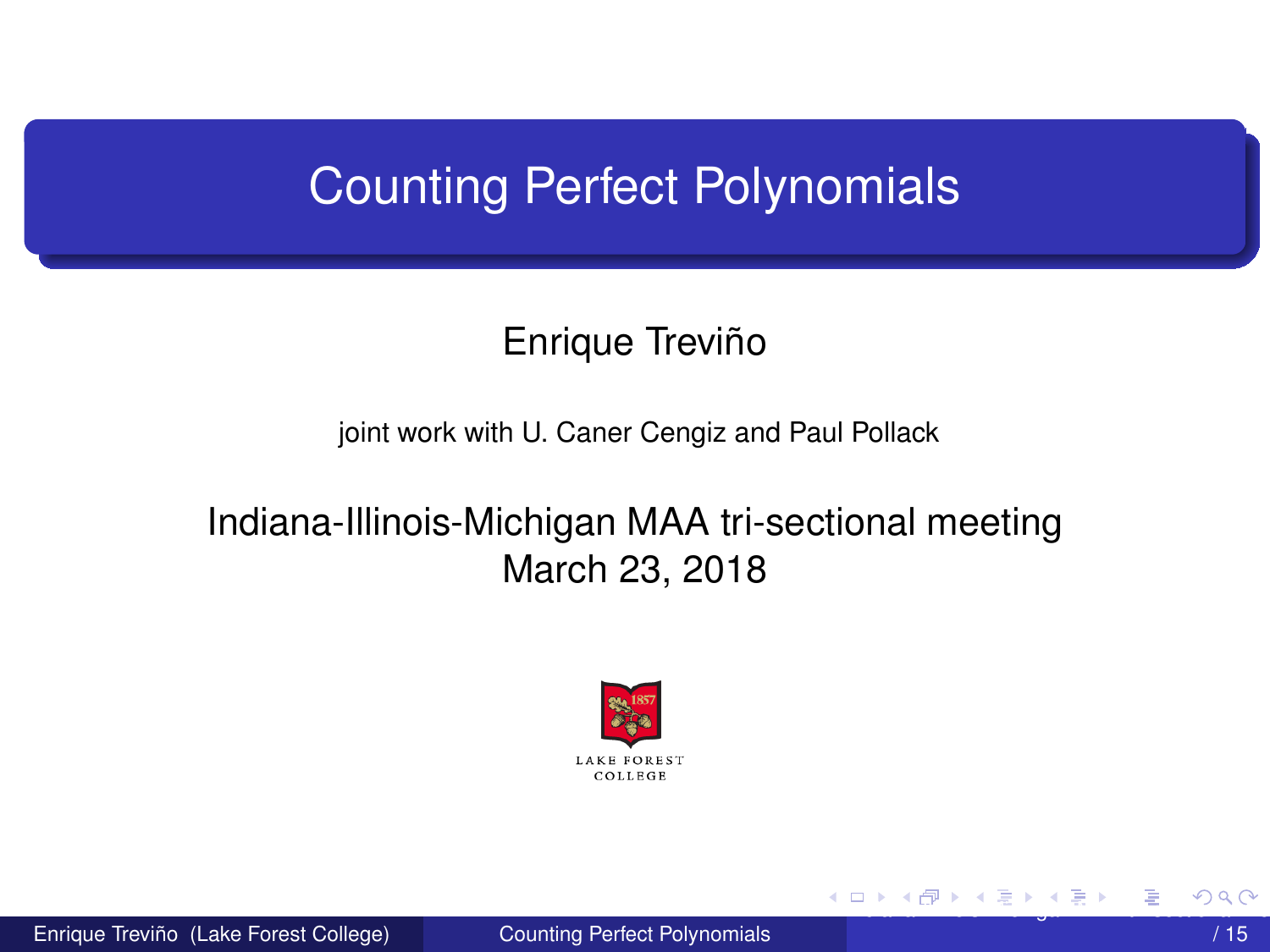# <span id="page-0-0"></span>Counting Perfect Polynomials

# Enrique Treviño

joint work with U. Caner Cengiz and Paul Pollack

## Indiana-Illinois-Michigan MAA tri-sectional meeting March 23, 2018



Enrique Treviño (Lake Forest College) [Counting Perfect Polynomials](#page-14-0)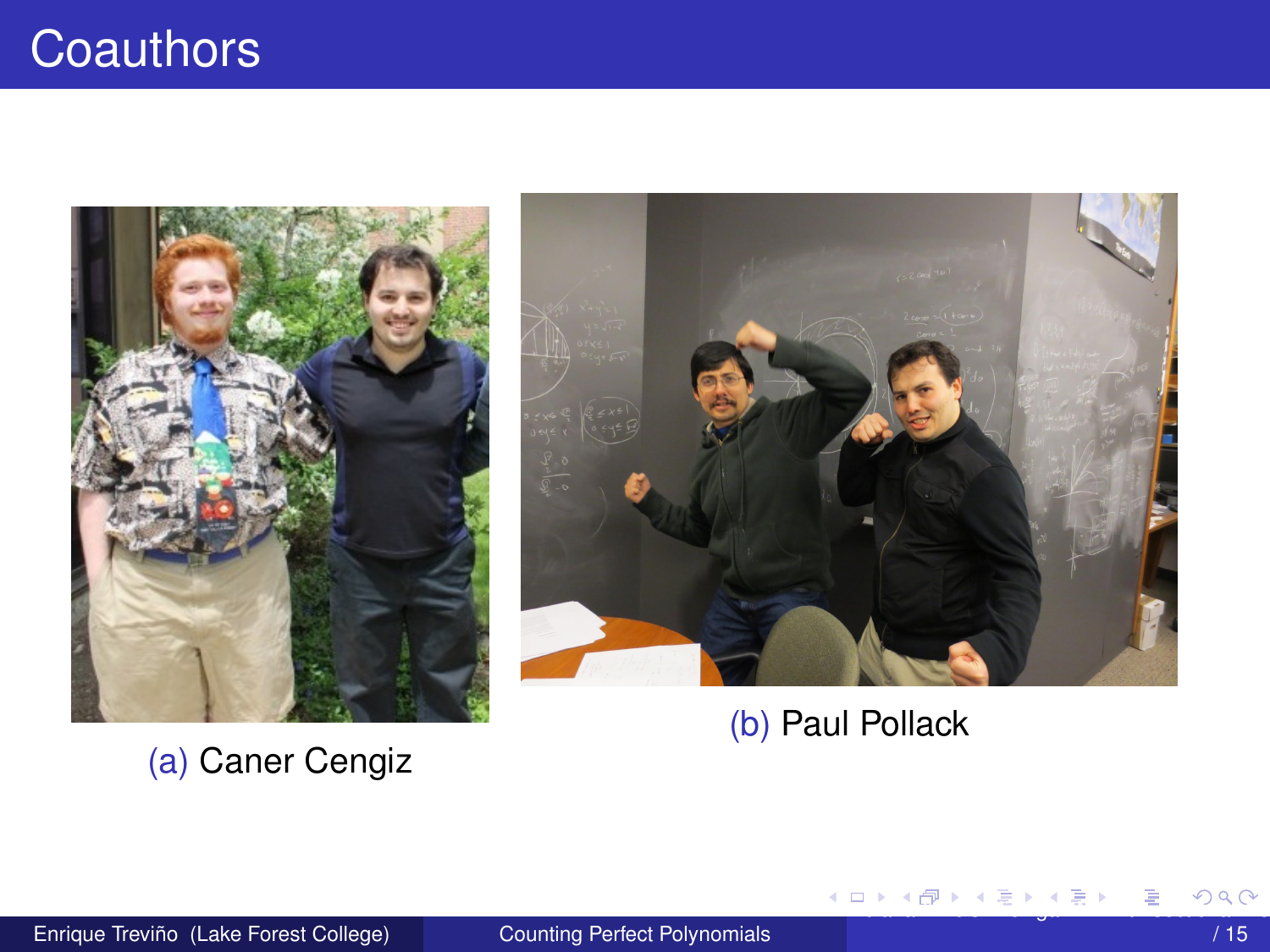<span id="page-1-0"></span>

(a) Caner Cengiz



(b) Paul Pollack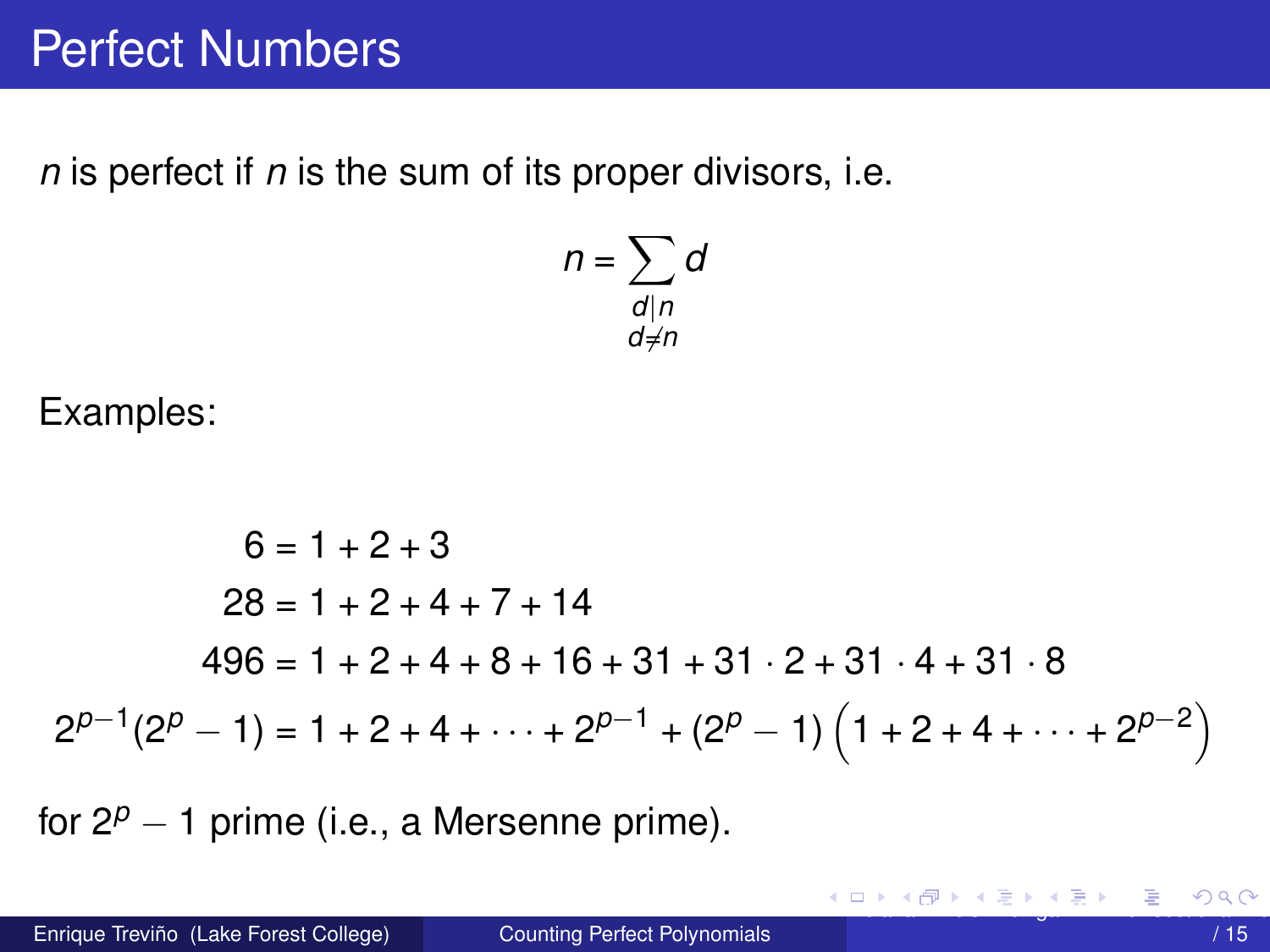<span id="page-2-0"></span>*n* is perfect if *n* is the sum of its proper divisors, i.e.

$$
n = \sum_{\substack{d \mid n \\ d \neq n}} d
$$

Examples:

$$
6 = 1 + 2 + 3
$$
  
\n
$$
28 = 1 + 2 + 4 + 7 + 14
$$
  
\n
$$
496 = 1 + 2 + 4 + 8 + 16 + 31 + 31 \cdot 2 + 31 \cdot 4 + 31 \cdot 8
$$
  
\n
$$
2^{p-1}(2^p - 1) = 1 + 2 + 4 + \dots + 2^{p-1} + (2^p - 1) \left(1 + 2 + 4 + \dots + 2^{p-2}\right)
$$

for  $2^p - 1$  prime (i.e., a Mersenne prime).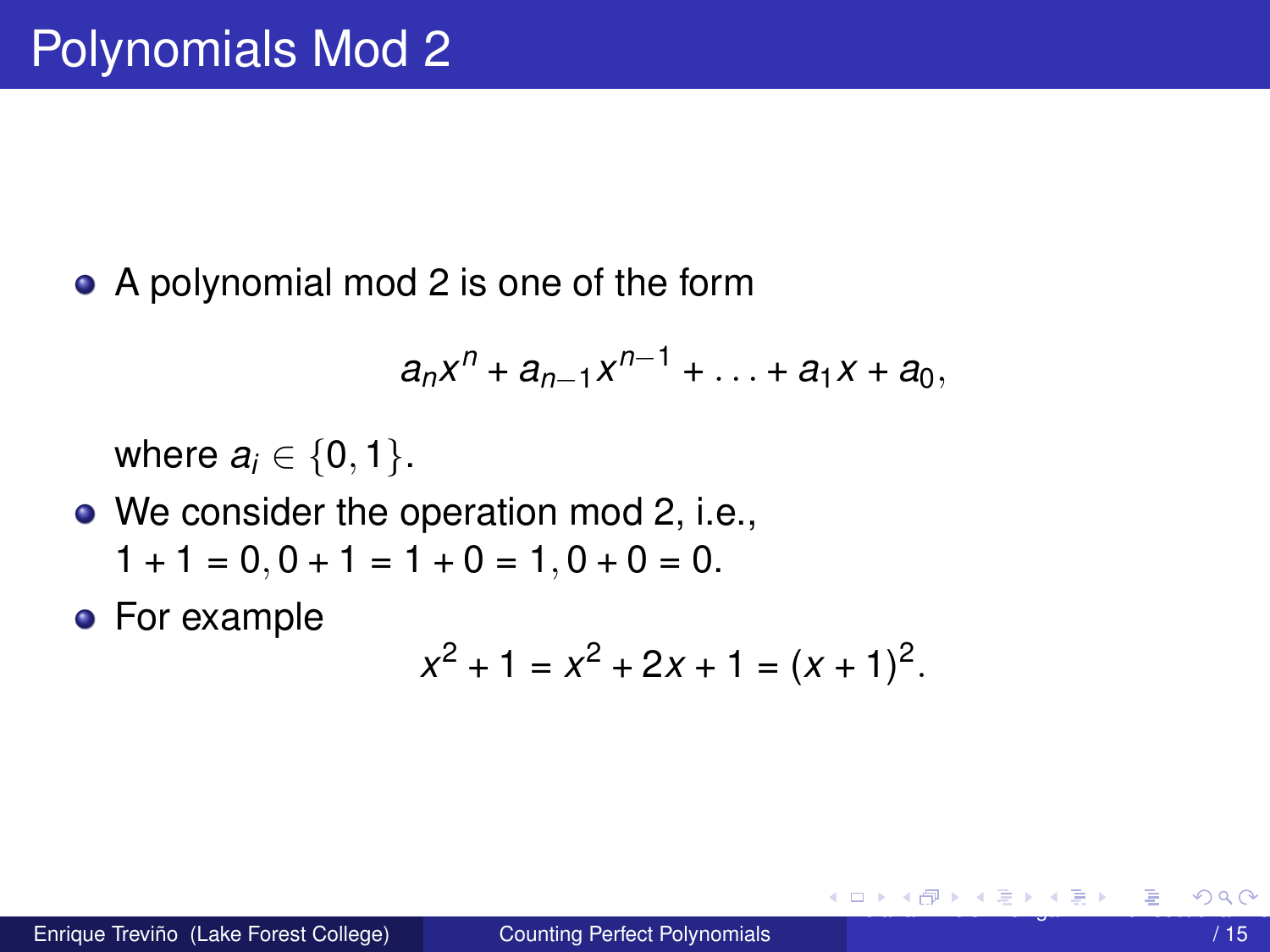<span id="page-3-0"></span>• A polynomial mod 2 is one of the form

$$
a_nx^n + a_{n-1}x^{n-1} + \ldots + a_1x + a_0,
$$

where  $a_i \in \{0, 1\}$ .

- We consider the operation mod 2, i.e.,  $1 + 1 = 0$ ,  $0 + 1 = 1 + 0 = 1$ ,  $0 + 0 = 0$ .
- **•** For example

$$
x^2 + 1 = x^2 + 2x + 1 = (x + 1)^2.
$$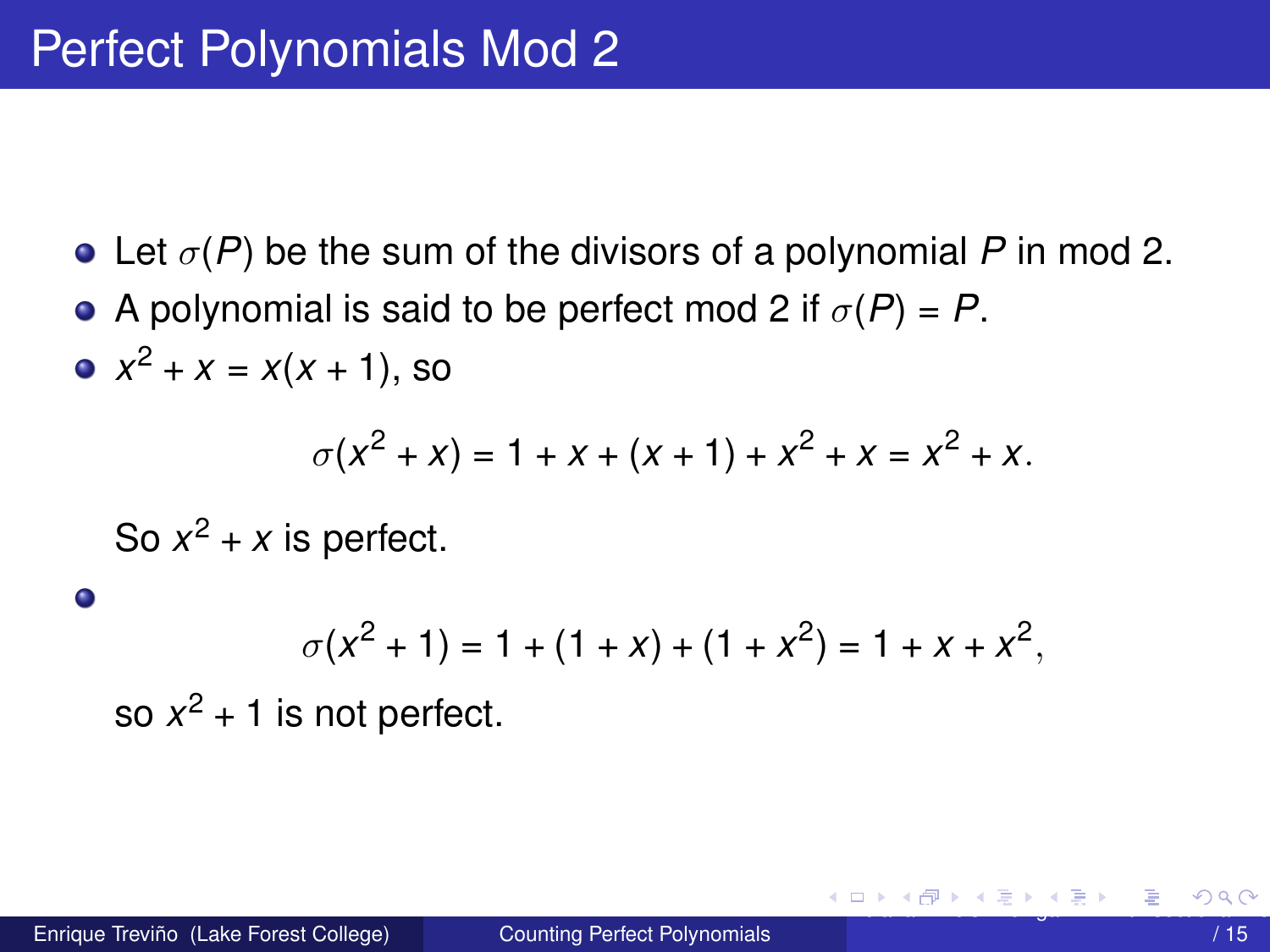- <span id="page-4-0"></span>Let *σ*(*P*) be the sum of the divisors of a polynomial *P* in mod 2.
- A polynomial is said to be perfect mod 2 if  $\sigma(P) = P$ .
- $x^2 + x = x(x + 1)$ , so

$$
\sigma(x^2 + x) = 1 + x + (x + 1) + x^2 + x = x^2 + x.
$$

So  $x^2 + x$  is perfect.

$$
\sigma(x^2 + 1) = 1 + (1 + x) + (1 + x^2) = 1 + x + x^2,
$$

so  $x^2$  + 1 is not perfect.

 $\bullet$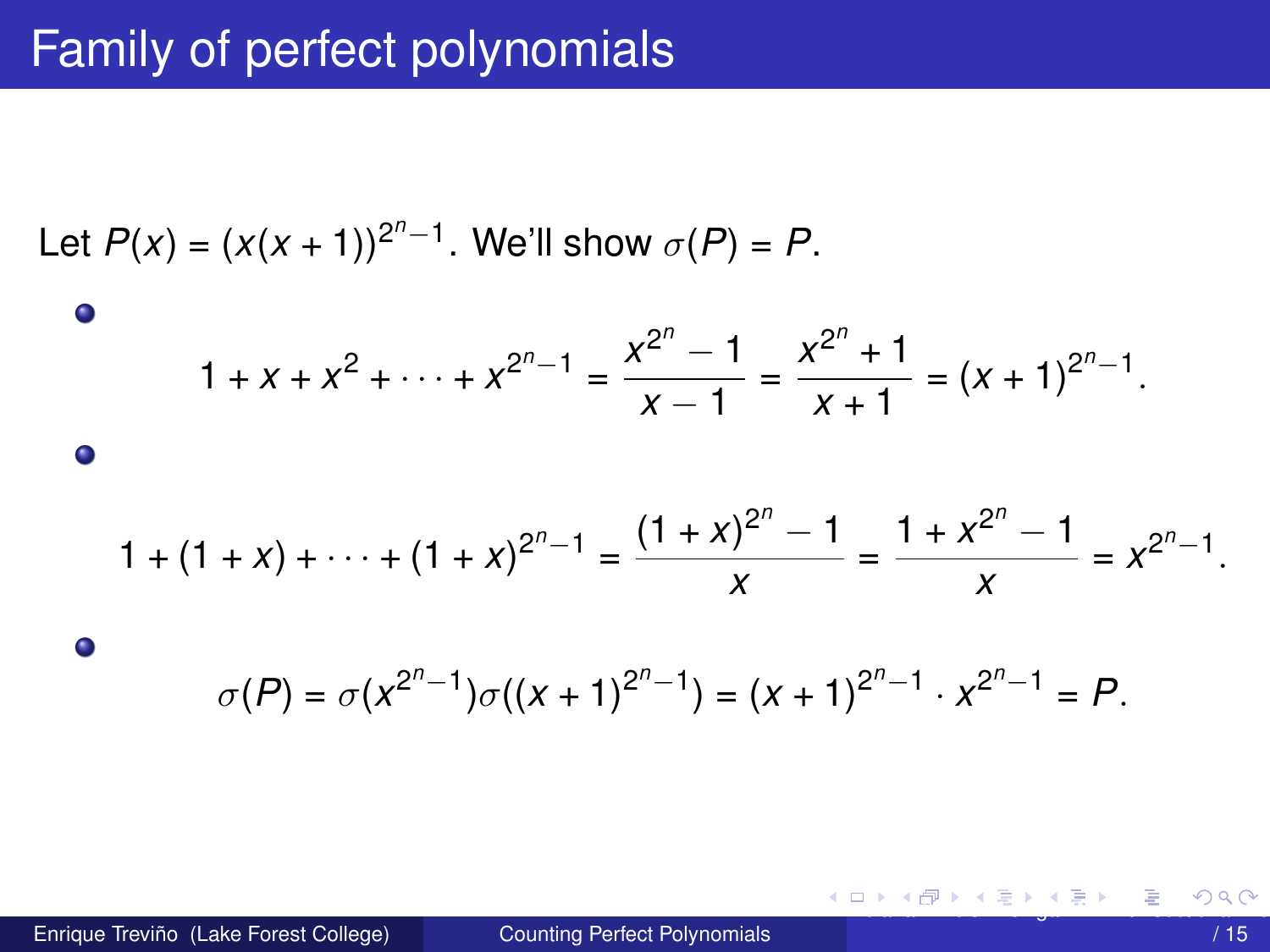# <span id="page-5-0"></span>Family of perfect polynomials

*<sup>n</sup>*−1

Let 
$$
P(x) = (x(x + 1))^{2^{n}-1}
$$
. We'll show  $\sigma(P) = P$ .  
\n  
\n
$$
1 + x + x^{2} + \dots + x^{2^{n}-1} = \frac{x^{2^{n}} - 1}{x - 1} = \frac{x^{2^{n}} + 1}{x + 1} = (x + 1)^{2^{n}-1}
$$
\n  
\n  
\n
$$
1 + (1 + x) + \dots + (1 + x)^{2^{n}-1} = \frac{(1 + x)^{2^{n}} - 1}{x} = \frac{1 + x^{2^{n}} - 1}{x} = x^{2^{n}-1}
$$
\n  
\n  
\n
$$
\sigma(P) = \sigma(x^{2^{n}-1})\sigma((x + 1)^{2^{n}-1}) = (x + 1)^{2^{n}-1} \cdot x^{2^{n}-1} = P
$$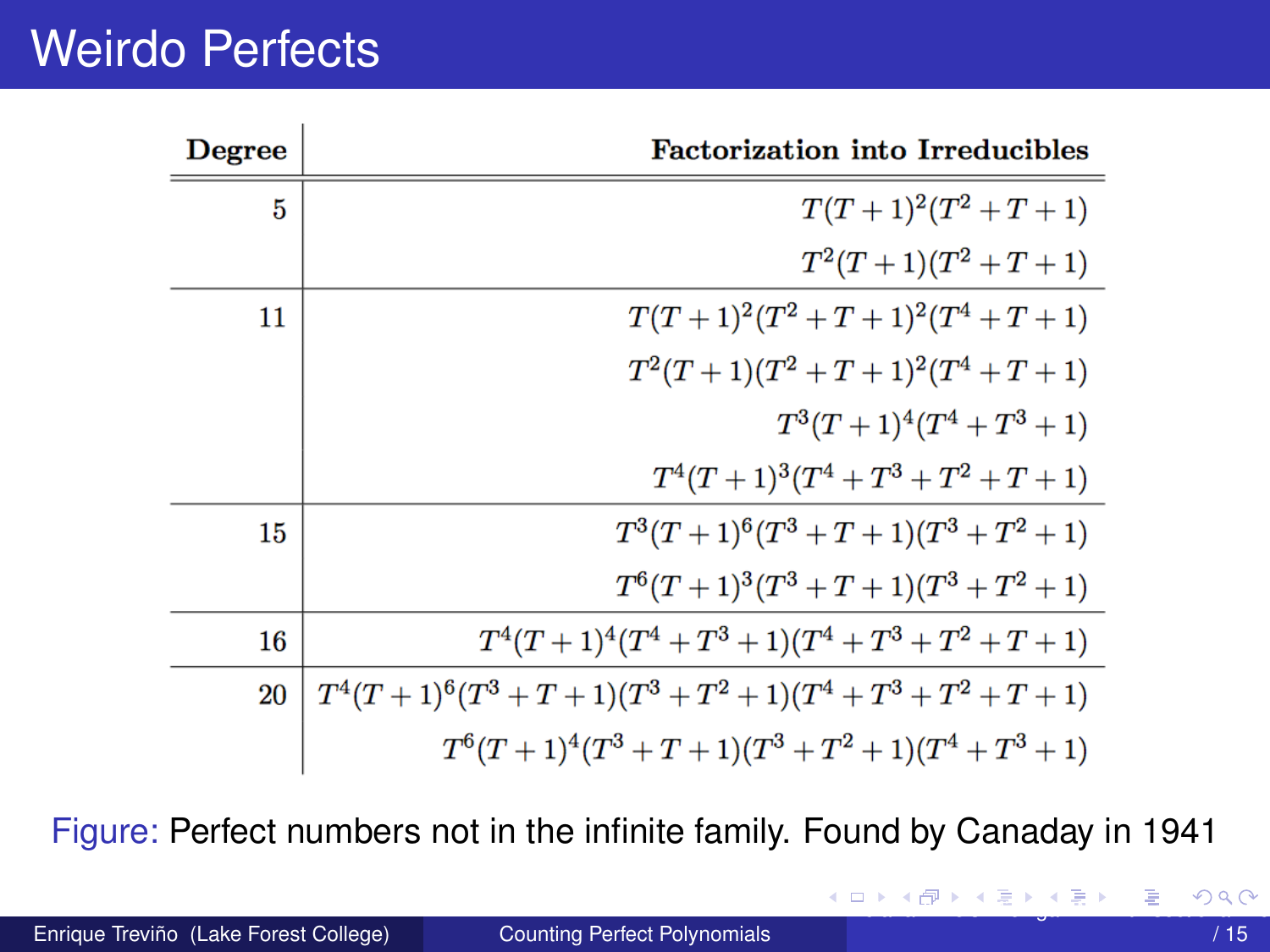# <span id="page-6-0"></span>Weirdo Perfects

| Degree | <b>Factorization into Irreducibles</b>                    |
|--------|-----------------------------------------------------------|
| 5      | $T(T+1)^2(T^2+T+1)$                                       |
|        | $T^2(T+1)(T^2+T+1)$                                       |
| 11     | $T(T+1)^2(T^2+T+1)^2(T^4+T+1)$                            |
|        | $T^2(T+1)(T^2+T+1)^2(T^4+T+1)$                            |
|        | $T^3(T+1)^4(T^4+T^3+1)$                                   |
|        | $T^4(T+1)^3(T^4+T^3+T^2+T+1)$                             |
| 15     | $T^3(T+1)^6(T^3+T+1)(T^3+T^2+1)$                          |
|        | $T^{6}(T+1)^{3}(T^{3}+T+1)(T^{3}+T^{2}+1)$                |
| 16     | $T^4(T+1)^4(T^4+T^3+1)(T^4+T^3+T^2+T+1)$                  |
| 20     | $T^4(T+1)^6(T^3+T+1)(T^3+T^2+1)(T^4+T^3+T^2+T+1)$         |
|        | $T^{6}(T+1)^{4}(T^{3}+T+1)(T^{3}+T^{2}+1)(T^{4}+T^{3}+1)$ |

Figure: Perfect numbers not in the infinite family. Found by Canaday in 1941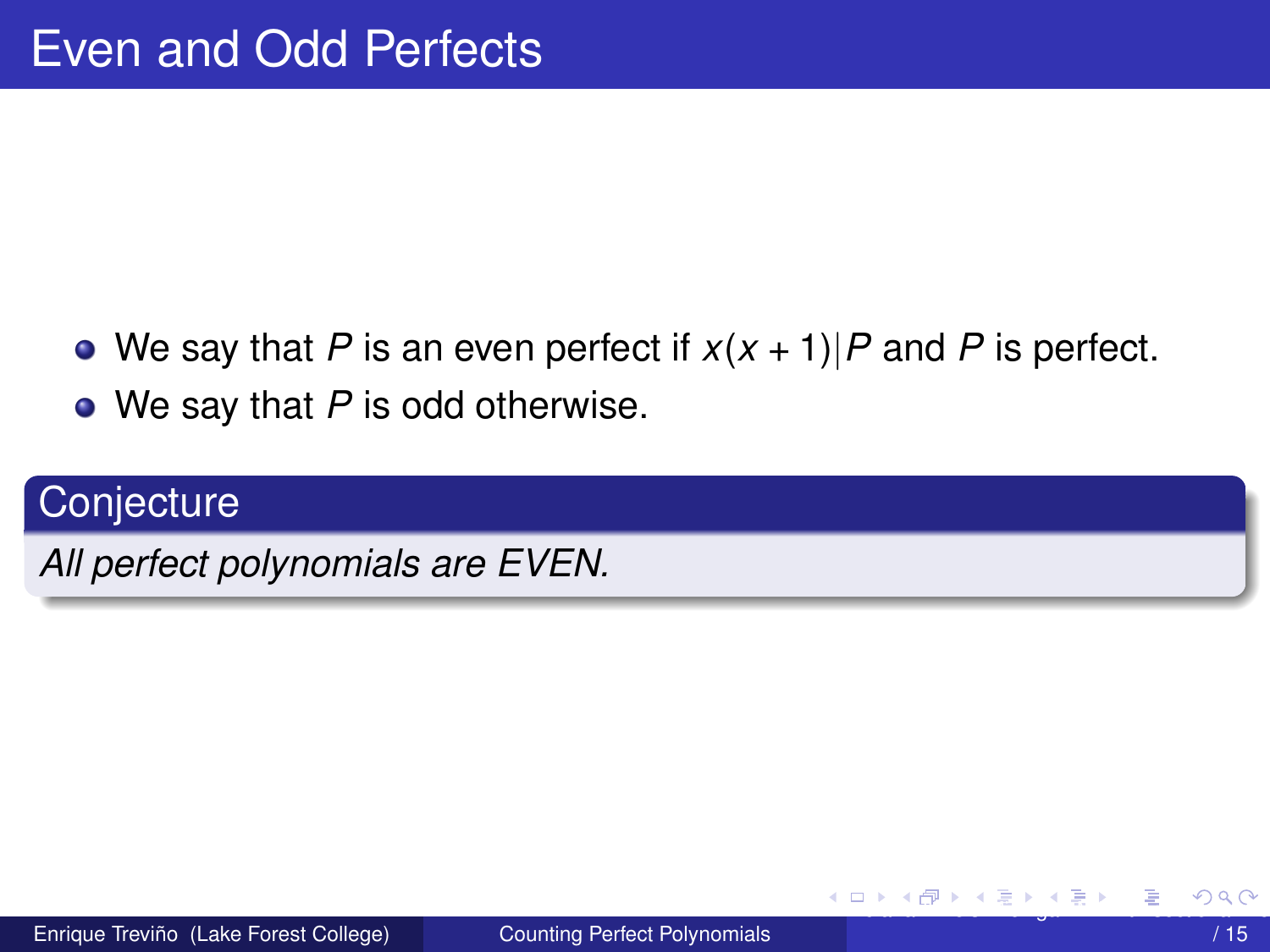- <span id="page-7-0"></span>• We say that *P* is an even perfect if  $x(x + 1)/P$  and *P* is perfect.
- We say that *P* is odd otherwise.

# **Conjecture**

*All perfect polynomials are EVEN.*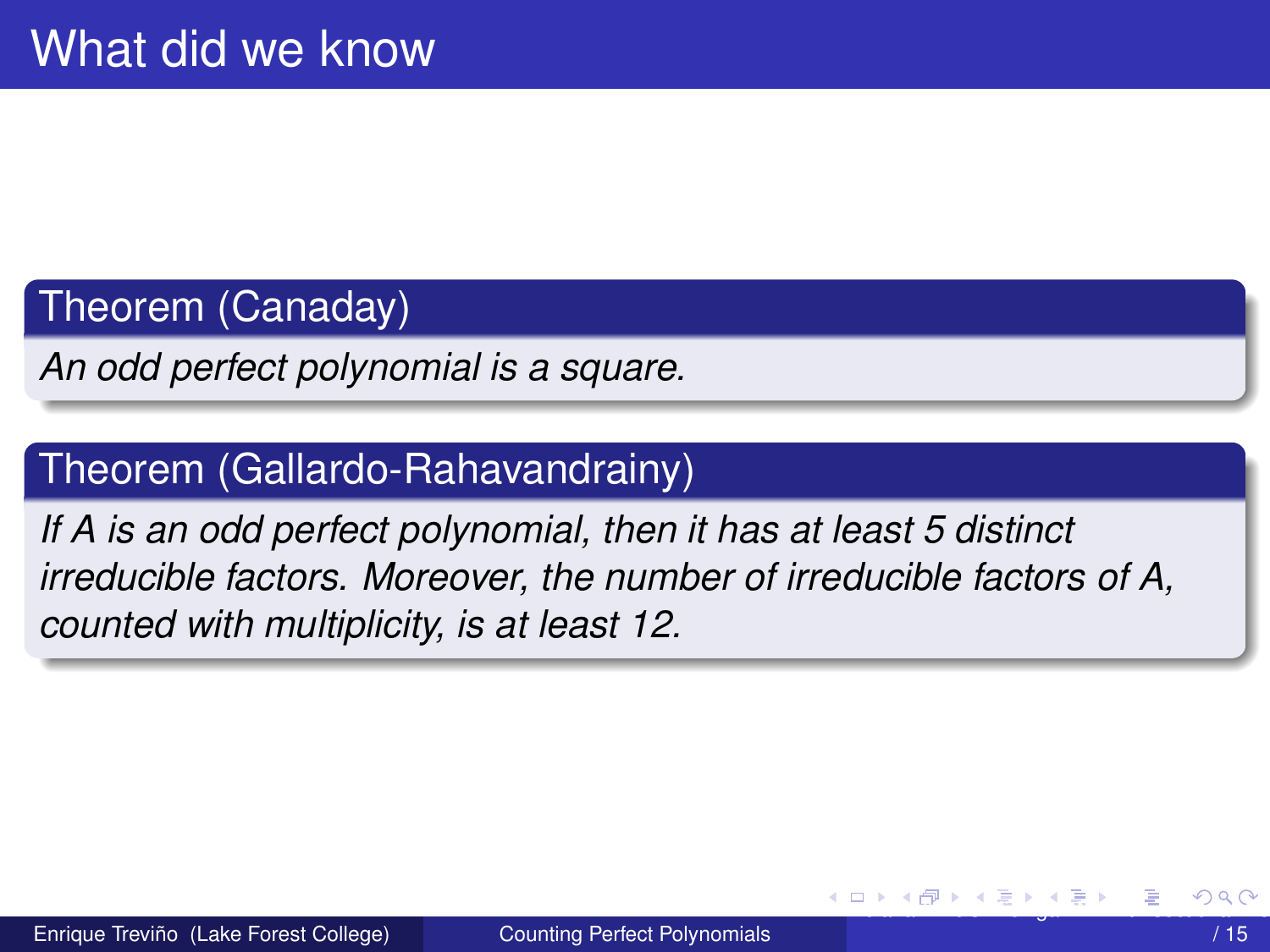## <span id="page-8-0"></span>Theorem (Canaday)

*An odd perfect polynomial is a square.*

## Theorem (Gallardo-Rahavandrainy)

*If A is an odd perfect polynomial, then it has at least 5 distinct irreducible factors. Moreover, the number of irreducible factors of A, counted with multiplicity, is at least 12.*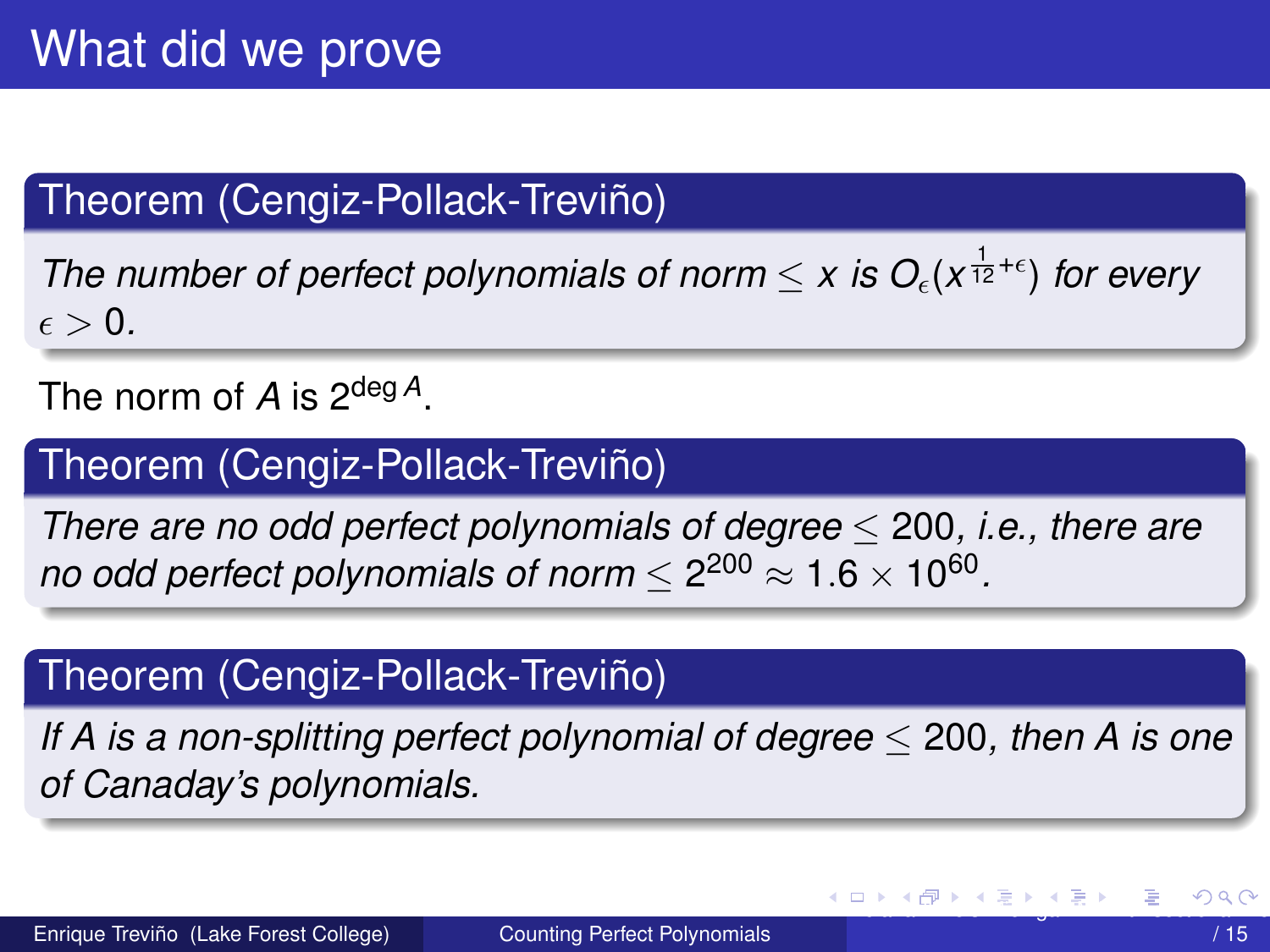# <span id="page-9-0"></span>Theorem (Cengiz-Pollack-Treviño)

*The number of perfect polynomials of norm*  $\leq x$  *is O<sub>c</sub>*( $x^{\frac{1}{12}+\epsilon}$ ) *for every*  $\epsilon > 0$ .

The norm of *A* is 2deg *<sup>A</sup>*.

## Theorem (Cengiz-Pollack-Treviño)

*There are no odd perfect polynomials of degree* ≤ 200*, i.e., there are no odd perfect polynomials of norm*  $\leq$  2 $^{200}$   $\approx$  1.6  $\times$  10 $^{60}.$ 

## Theorem (Cengiz-Pollack-Treviño)

*If A is a non-splitting perfect polynomial of degree* ≤ 200*, then A is one of Canaday's polynomials.*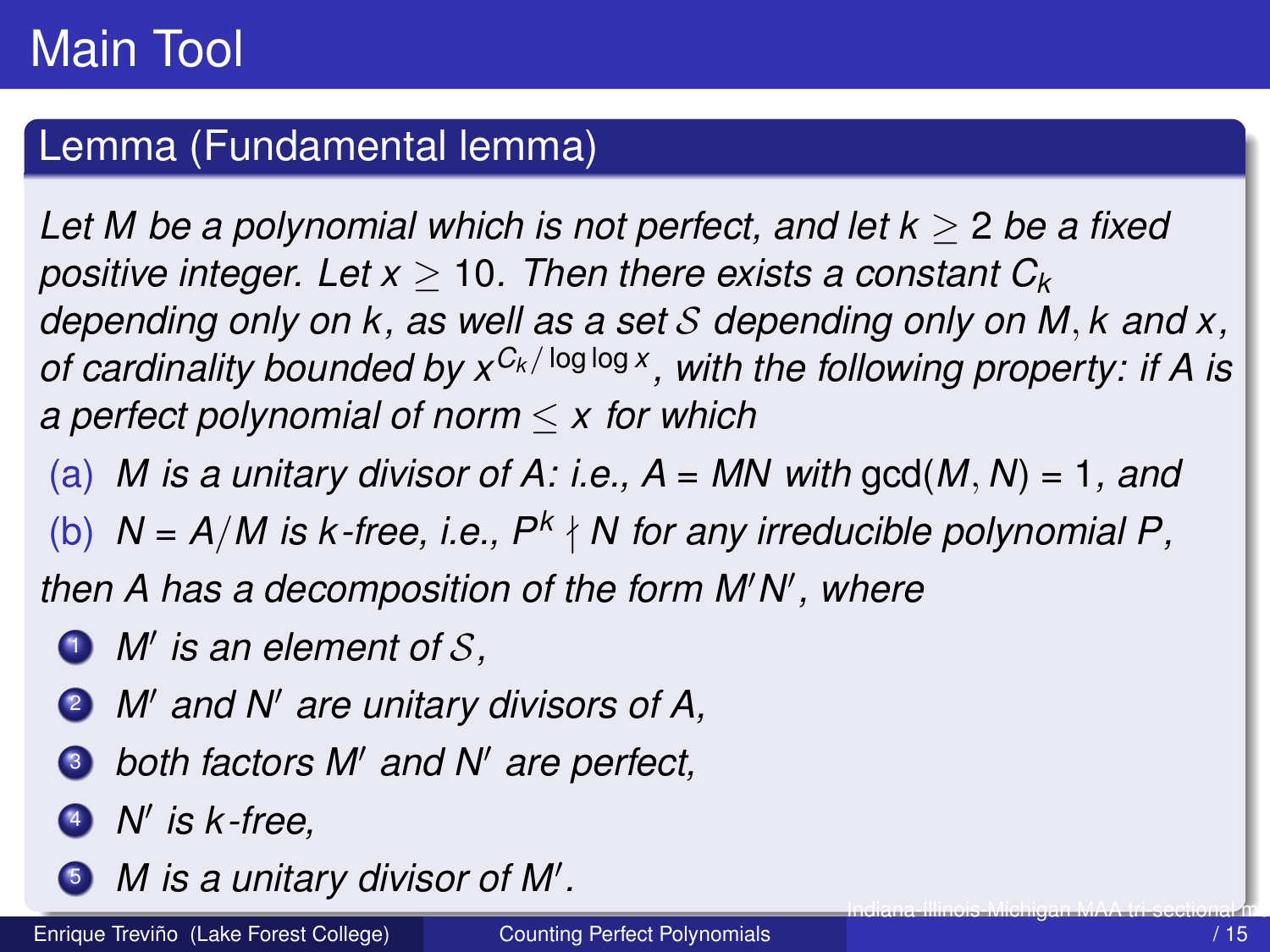## <span id="page-10-0"></span>Lemma (Fundamental lemma)

*Let M be a polynomial which is not perfect, and let k* ≥ 2 *be a fixed positive integer. Let x* ≥ 10*. Then there exists a constant C<sup>k</sup> depending only on k, as well as a set* S *depending only on M, k and x, of cardinality bounded by xC<sup>k</sup> /* log log *<sup>x</sup> , with the following property: if A is a perfect polynomial of norm* ≤ *x for which*

(a) *M* is a unitary divisor of A: i.e.,  $A = MN$  with gcd(M, N) = 1, and

(b)  $N = A/M$  is  $k$ -free, i.e.,  $P^k \nmid N$  for any irreducible polynomial P,

then A has a decomposition of the form M'N', where

- *i M'* is an element of S,
- **2** *M'* and *N'* are unitary divisors of A,
- $\bullet$  *both factors M' and N' are perfect,*
- <sup>4</sup> *N* 0 *is k -free,*
- *M* is a unitary divisor of M'.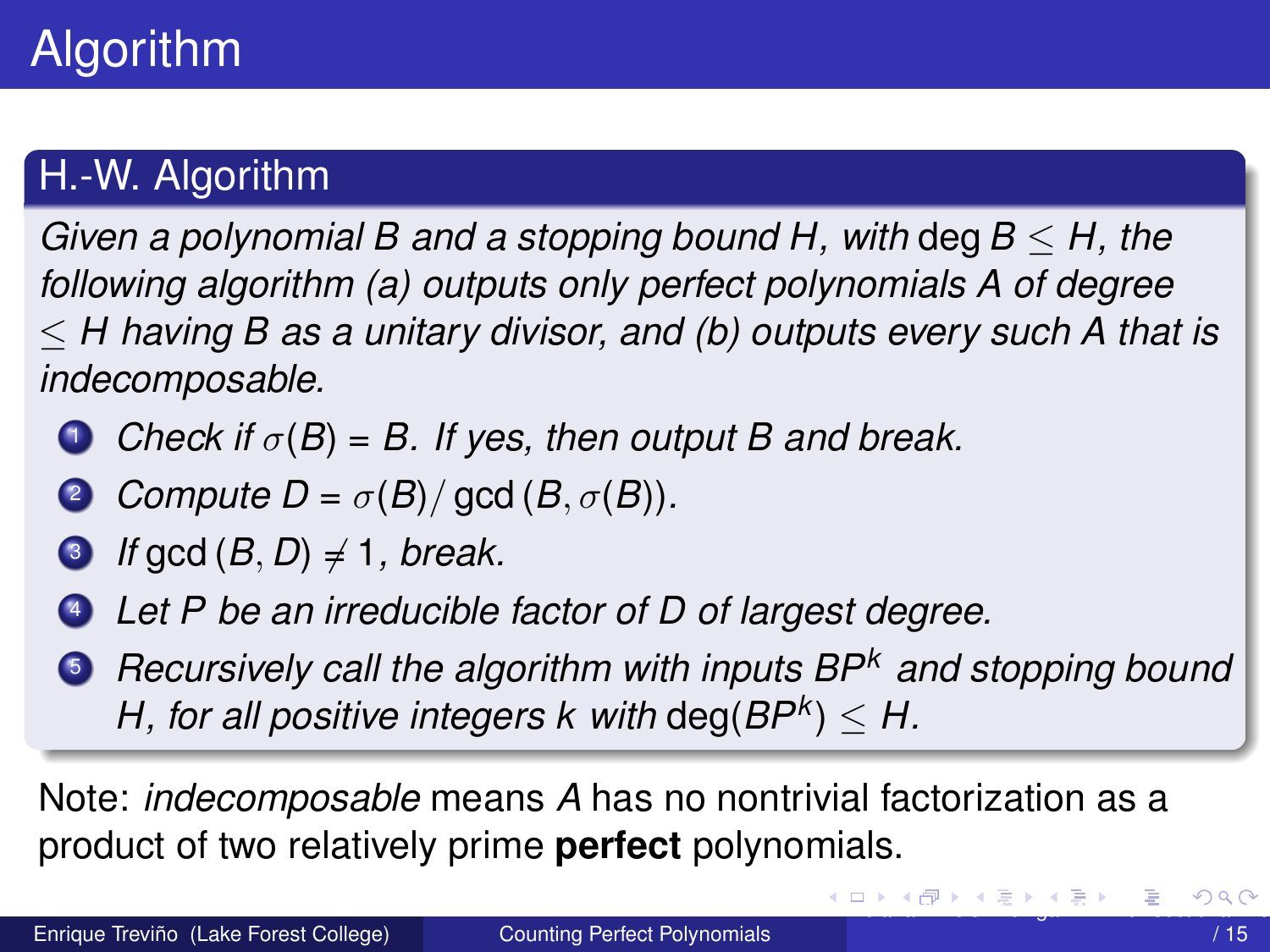# <span id="page-11-0"></span>H.-W. Algorithm

*Given a polynomial B and a stopping bound H, with* deg*B* ≤ *H, the following algorithm (a) outputs only perfect polynomials A of degree* ≤ *H having B as a unitary divisor, and (b) outputs every such A that is indecomposable.*

- **1** *Check if*  $\sigma(B) = B$ . If yes, then output B and break.
- **2** *Compute D* =  $\sigma(B)/$  gcd (*B*,  $\sigma(B)$ )*.*
- $\bullet$  *If* gcd  $(B, D) \neq 1$ *, break.*
- <sup>4</sup> *Let P be an irreducible factor of D of largest degree.*
- <sup>5</sup> *Recursively call the algorithm with inputs BP<sup>k</sup> and stopping bound*  $H$ , for all positive integers  $k$  with  $\text{deg}(BP^k) \leq H$ .

Note: *indecomposable* means *A* has no nontrivial factorization as a product of two relatively prime **perfect** polynomials.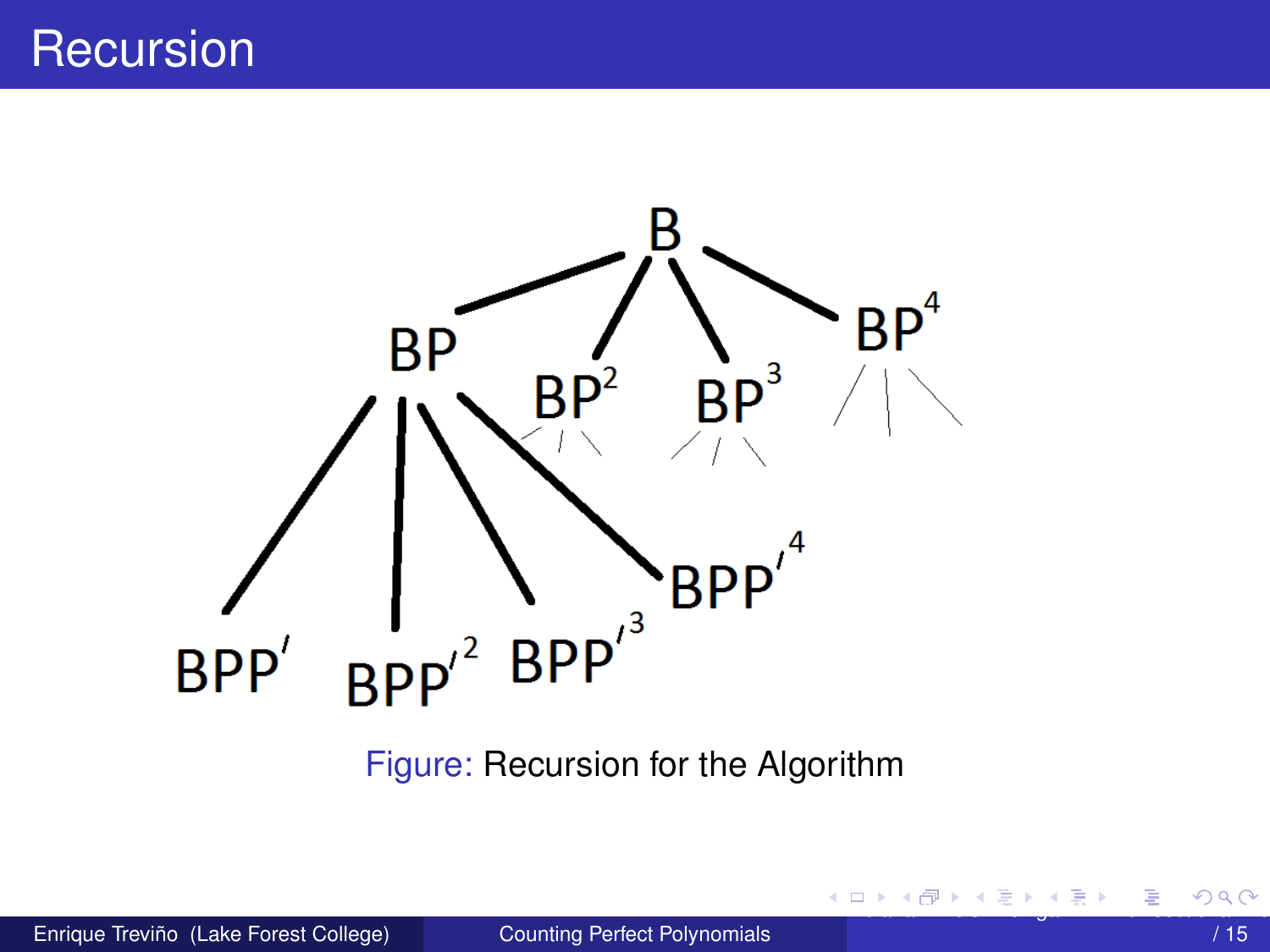# <span id="page-12-0"></span>**Recursion**



Figure: Recursion for the Algorithm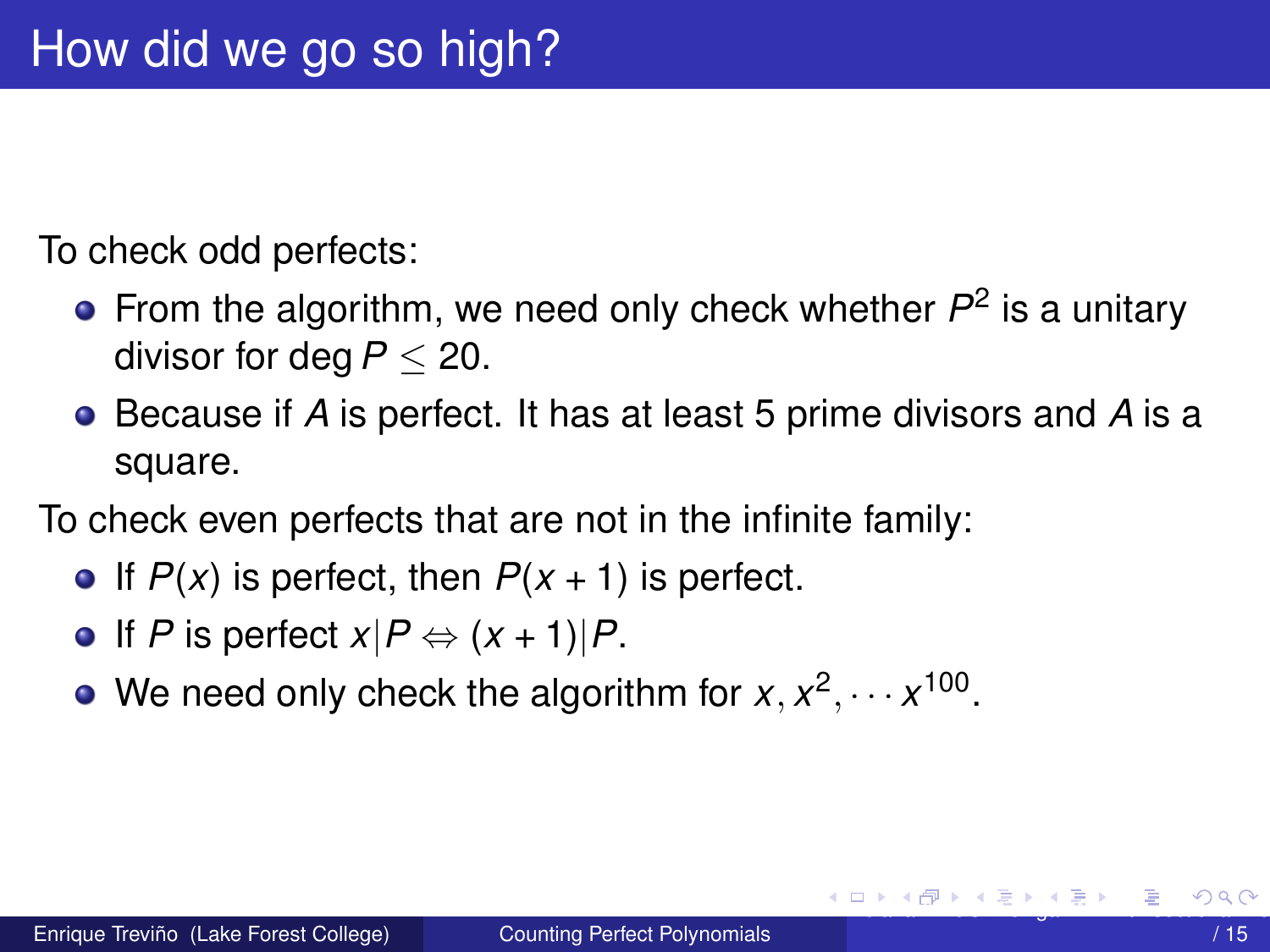<span id="page-13-0"></span>To check odd perfects:

- From the algorithm, we need only check whether  $P^2$  is a unitary divisor for deg*P* ≤ 20.
- Because if *A* is perfect. It has at least 5 prime divisors and *A* is a square.

To check even perfects that are not in the infinite family:

- If  $P(x)$  is perfect, then  $P(x + 1)$  is perfect.
- $\bullet$  If *P* is perfect  $x|P \Leftrightarrow (x + 1)|P$ .
- We need only check the algorithm for  $x, x^2, \dots x^{100}$ .